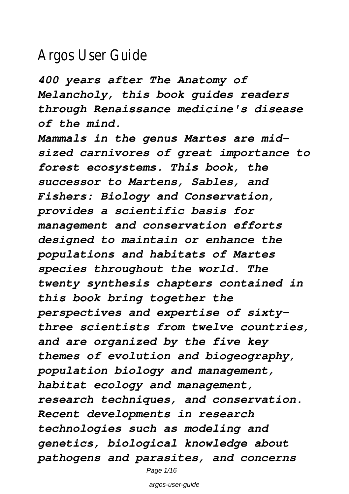# Argos User Gu

*400 years after The Anatomy of Melancholy, this book guides readers through Renaissance medicine's disease of the mind.*

*Mammals in the genus Martes are midsized carnivores of great importance to forest ecosystems. This book, the successor to Martens, Sables, and Fishers: Biology and Conservation, provides a scientific basis for management and conservation efforts designed to maintain or enhance the populations and habitats of Martes species throughout the world. The twenty synthesis chapters contained in this book bring together the perspectives and expertise of sixtythree scientists from twelve countries, and are organized by the five key themes of evolution and biogeography, population biology and management, habitat ecology and management, research techniques, and conservation. Recent developments in research technologies such as modeling and genetics, biological knowledge about pathogens and parasites, and concerns*

Page 1/16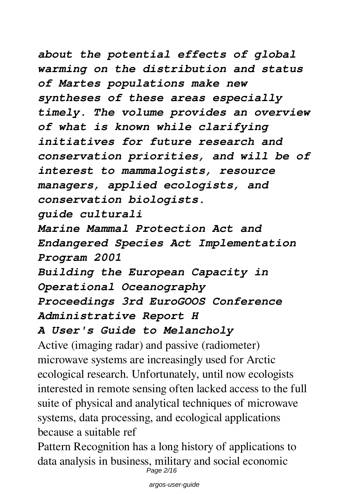*about the potential effects of global warming on the distribution and status of Martes populations make new syntheses of these areas especially timely. The volume provides an overview of what is known while clarifying initiatives for future research and conservation priorities, and will be of interest to mammalogists, resource managers, applied ecologists, and conservation biologists.*

*guide culturali*

*Marine Mammal Protection Act and Endangered Species Act Implementation Program 2001*

*Building the European Capacity in Operational Oceanography Proceedings 3rd EuroGOOS Conference Administrative Report H*

## *A User's Guide to Melancholy*

Active (imaging radar) and passive (radiometer) microwave systems are increasingly used for Arctic ecological research. Unfortunately, until now ecologists interested in remote sensing often lacked access to the full suite of physical and analytical techniques of microwave systems, data processing, and ecological applications because a suitable ref

Pattern Recognition has a long history of applications to data analysis in business, military and social economic Page 2/16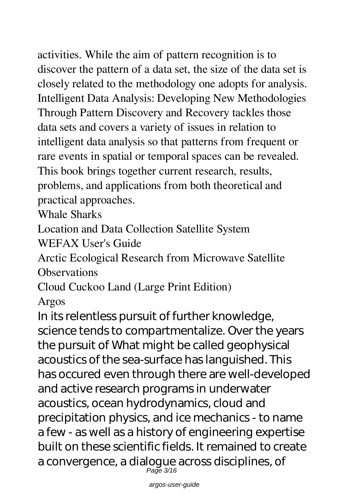activities. While the aim of pattern recognition is to discover the pattern of a data set, the size of the data set is closely related to the methodology one adopts for analysis. Intelligent Data Analysis: Developing New Methodologies Through Pattern Discovery and Recovery tackles those data sets and covers a variety of issues in relation to intelligent data analysis so that patterns from frequent or rare events in spatial or temporal spaces can be revealed. This book brings together current research, results, problems, and applications from both theoretical and practical approaches.

Whale Sharks

Location and Data Collection Satellite System

WEFAX User's Guide

Arctic Ecological Research from Microwave Satellite **Observations** 

Cloud Cuckoo Land (Large Print Edition)

Argos

In its relentless pursuit of further knowledge, science tends to compartmentalize. Over the years the pursuit of What might be called geophysical acoustics of the sea-surface has languished. This has occured even through there are well-developed and active research programs in underwater acoustics, ocean hydrodynamics, cloud and precipitation physics, and ice mechanics - to name a few - as well as a history of engineering expertise built on these scientific fields. It remained to create a convergence, a dialogue across disciplines, of Page 3/16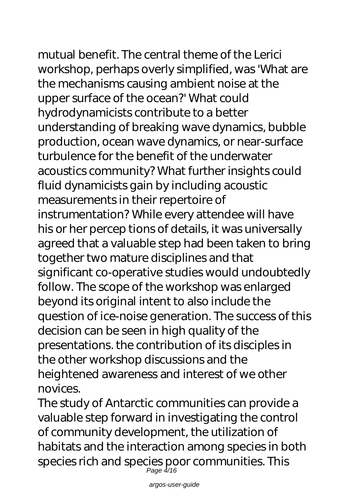mutual benefit. The central theme of the Lerici workshop, perhaps overly simplified, was 'What are the mechanisms causing ambient noise at the upper surface of the ocean?' What could hydrodynamicists contribute to a better understanding of breaking wave dynamics, bubble production, ocean wave dynamics, or near-surface turbulence for the benefit of the underwater acoustics community? What further insights could fluid dynamicists gain by including acoustic measurements in their repertoire of instrumentation? While every attendee will have his or her percep tions of details, it was universally agreed that a valuable step had been taken to bring together two mature disciplines and that significant co-operative studies would undoubtedly follow. The scope of the workshop was enlarged beyond its original intent to also include the question of ice-noise generation. The success of this decision can be seen in high quality of the presentations. the contribution of its disciples in the other workshop discussions and the heightened awareness and interest of we other novices.

The study of Antarctic communities can provide a valuable step forward in investigating the control of community development, the utilization of habitats and the interaction among species in both species rich and species poor communities. This Page 4/16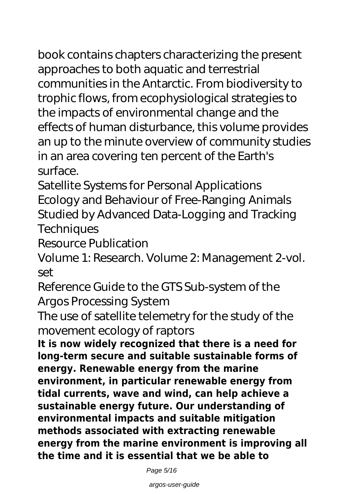book contains chapters characterizing the present approaches to both aquatic and terrestrial communities in the Antarctic. From biodiversity to trophic flows, from ecophysiological strategies to the impacts of environmental change and the effects of human disturbance, this volume provides an up to the minute overview of community studies in an area covering ten percent of the Earth's surface.

Satellite Systems for Personal Applications Ecology and Behaviour of Free-Ranging Animals Studied by Advanced Data-Logging and Tracking **Techniques** 

Resource Publication

Volume 1: Research. Volume 2: Management 2-vol. set

Reference Guide to the GTS Sub-system of the Argos Processing System

The use of satellite telemetry for the study of the movement ecology of raptors

**It is now widely recognized that there is a need for long-term secure and suitable sustainable forms of energy. Renewable energy from the marine environment, in particular renewable energy from tidal currents, wave and wind, can help achieve a sustainable energy future. Our understanding of environmental impacts and suitable mitigation methods associated with extracting renewable energy from the marine environment is improving all the time and it is essential that we be able to**

Page 5/16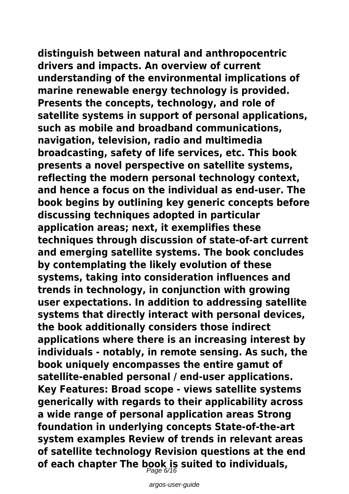**distinguish between natural and anthropocentric drivers and impacts. An overview of current understanding of the environmental implications of marine renewable energy technology is provided. Presents the concepts, technology, and role of satellite systems in support of personal applications, such as mobile and broadband communications, navigation, television, radio and multimedia broadcasting, safety of life services, etc. This book presents a novel perspective on satellite systems, reflecting the modern personal technology context, and hence a focus on the individual as end-user. The book begins by outlining key generic concepts before discussing techniques adopted in particular application areas; next, it exemplifies these techniques through discussion of state-of-art current and emerging satellite systems. The book concludes by contemplating the likely evolution of these systems, taking into consideration influences and trends in technology, in conjunction with growing user expectations. In addition to addressing satellite systems that directly interact with personal devices, the book additionally considers those indirect applications where there is an increasing interest by individuals - notably, in remote sensing. As such, the book uniquely encompasses the entire gamut of satellite-enabled personal / end-user applications. Key Features: Broad scope - views satellite systems generically with regards to their applicability across a wide range of personal application areas Strong foundation in underlying concepts State-of-the-art system examples Review of trends in relevant areas of satellite technology Revision questions at the end of each chapter The book is suited to individuals,** Page 6/16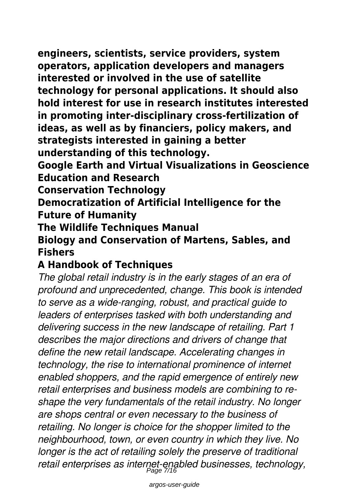**engineers, scientists, service providers, system operators, application developers and managers interested or involved in the use of satellite technology for personal applications. It should also hold interest for use in research institutes interested in promoting inter-disciplinary cross-fertilization of ideas, as well as by financiers, policy makers, and strategists interested in gaining a better understanding of this technology.**

**Google Earth and Virtual Visualizations in Geoscience Education and Research**

**Conservation Technology**

**Democratization of Artificial Intelligence for the Future of Humanity**

**The Wildlife Techniques Manual** 

### **Biology and Conservation of Martens, Sables, and Fishers**

# **A Handbook of Techniques**

*The global retail industry is in the early stages of an era of profound and unprecedented, change. This book is intended to serve as a wide-ranging, robust, and practical guide to leaders of enterprises tasked with both understanding and delivering success in the new landscape of retailing. Part 1 describes the major directions and drivers of change that define the new retail landscape. Accelerating changes in technology, the rise to international prominence of internet enabled shoppers, and the rapid emergence of entirely new retail enterprises and business models are combining to reshape the very fundamentals of the retail industry. No longer are shops central or even necessary to the business of retailing. No longer is choice for the shopper limited to the neighbourhood, town, or even country in which they live. No longer is the act of retailing solely the preserve of traditional retail enterprises as internet-enabled businesses, technology,* Page 7/16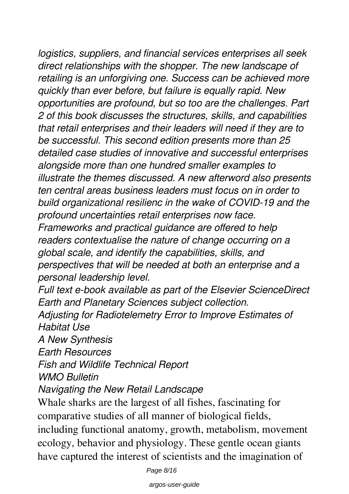*logistics, suppliers, and financial services enterprises all seek direct relationships with the shopper. The new landscape of retailing is an unforgiving one. Success can be achieved more quickly than ever before, but failure is equally rapid. New opportunities are profound, but so too are the challenges. Part 2 of this book discusses the structures, skills, and capabilities that retail enterprises and their leaders will need if they are to be successful. This second edition presents more than 25 detailed case studies of innovative and successful enterprises alongside more than one hundred smaller examples to illustrate the themes discussed. A new afterword also presents ten central areas business leaders must focus on in order to build organizational resilienc in the wake of COVID-19 and the profound uncertainties retail enterprises now face. Frameworks and practical guidance are offered to help readers contextualise the nature of change occurring on a*

*global scale, and identify the capabilities, skills, and perspectives that will be needed at both an enterprise and a personal leadership level.*

*Full text e-book available as part of the Elsevier ScienceDirect Earth and Planetary Sciences subject collection.*

*Adjusting for Radiotelemetry Error to Improve Estimates of Habitat Use*

*A New Synthesis*

*Earth Resources*

*Fish and Wildlife Technical Report*

*WMO Bulletin*

*Navigating the New Retail Landscape*

Whale sharks are the largest of all fishes, fascinating for comparative studies of all manner of biological fields, including functional anatomy, growth, metabolism, movement ecology, behavior and physiology. These gentle ocean giants have captured the interest of scientists and the imagination of

Page 8/16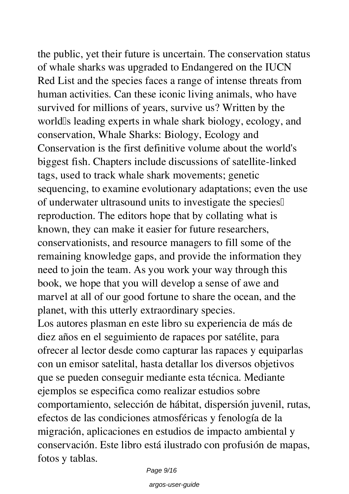the public, yet their future is uncertain. The conservation status of whale sharks was upgraded to Endangered on the IUCN Red List and the species faces a range of intense threats from human activities. Can these iconic living animals, who have survived for millions of years, survive us? Written by the world<sup>Is</sup> leading experts in whale shark biology, ecology, and conservation, Whale Sharks: Biology, Ecology and Conservation is the first definitive volume about the world's biggest fish. Chapters include discussions of satellite-linked tags, used to track whale shark movements; genetic sequencing, to examine evolutionary adaptations; even the use of underwater ultrasound units to investigate the species' reproduction. The editors hope that by collating what is known, they can make it easier for future researchers, conservationists, and resource managers to fill some of the remaining knowledge gaps, and provide the information they need to join the team. As you work your way through this book, we hope that you will develop a sense of awe and marvel at all of our good fortune to share the ocean, and the planet, with this utterly extraordinary species. Los autores plasman en este libro su experiencia de más de

diez años en el seguimiento de rapaces por satélite, para ofrecer al lector desde como capturar las rapaces y equiparlas con un emisor satelital, hasta detallar los diversos objetivos que se pueden conseguir mediante esta técnica. Mediante ejemplos se especifica como realizar estudios sobre comportamiento, selección de hábitat, dispersión juvenil, rutas, efectos de las condiciones atmosféricas y fenología de la migración, aplicaciones en estudios de impacto ambiental y conservación. Este libro está ilustrado con profusión de mapas, fotos y tablas.

Page 9/16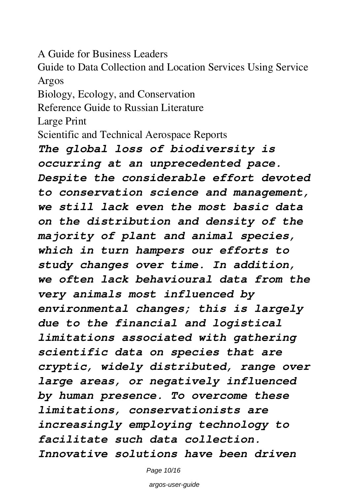A Guide for Business Leaders

Guide to Data Collection and Location Services Using Service Argos

Biology, Ecology, and Conservation

Reference Guide to Russian Literature

Large Print

Scientific and Technical Aerospace Reports

*The global loss of biodiversity is occurring at an unprecedented pace. Despite the considerable effort devoted to conservation science and management, we still lack even the most basic data on the distribution and density of the majority of plant and animal species, which in turn hampers our efforts to study changes over time. In addition, we often lack behavioural data from the very animals most influenced by environmental changes; this is largely due to the financial and logistical limitations associated with gathering scientific data on species that are cryptic, widely distributed, range over large areas, or negatively influenced by human presence. To overcome these limitations, conservationists are increasingly employing technology to facilitate such data collection. Innovative solutions have been driven*

Page 10/16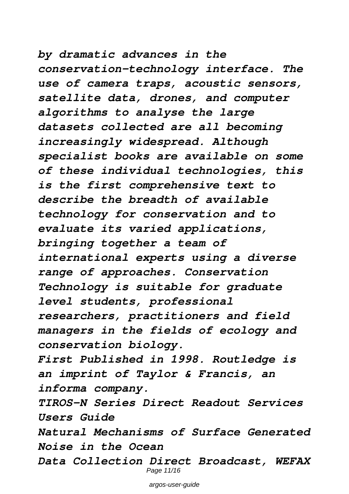*by dramatic advances in the conservation-technology interface. The use of camera traps, acoustic sensors, satellite data, drones, and computer algorithms to analyse the large datasets collected are all becoming increasingly widespread. Although specialist books are available on some of these individual technologies, this is the first comprehensive text to describe the breadth of available technology for conservation and to evaluate its varied applications, bringing together a team of international experts using a diverse range of approaches. Conservation Technology is suitable for graduate level students, professional researchers, practitioners and field managers in the fields of ecology and conservation biology. First Published in 1998. Routledge is an imprint of Taylor & Francis, an informa company. TIROS-N Series Direct Readout Services Users Guide Natural Mechanisms of Surface Generated Noise in the Ocean*

*Data Collection Direct Broadcast, WEFAX* Page 11/16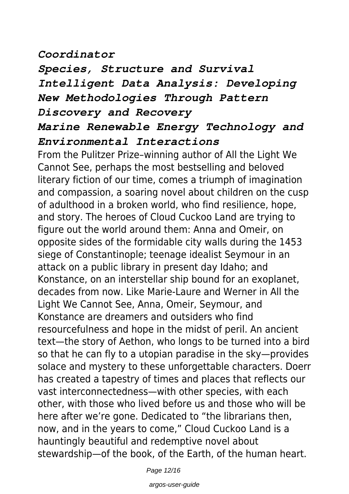## *Coordinator*

*Species, Structure and Survival Intelligent Data Analysis: Developing New Methodologies Through Pattern Discovery and Recovery*

# *Marine Renewable Energy Technology and Environmental Interactions*

From the Pulitzer Prize–winning author of All the Light We Cannot See, perhaps the most bestselling and beloved literary fiction of our time, comes a triumph of imagination and compassion, a soaring novel about children on the cusp of adulthood in a broken world, who find resilience, hope, and story. The heroes of Cloud Cuckoo Land are trying to figure out the world around them: Anna and Omeir, on opposite sides of the formidable city walls during the 1453 siege of Constantinople; teenage idealist Seymour in an attack on a public library in present day Idaho; and Konstance, on an interstellar ship bound for an exoplanet, decades from now. Like Marie-Laure and Werner in All the Light We Cannot See, Anna, Omeir, Seymour, and Konstance are dreamers and outsiders who find resourcefulness and hope in the midst of peril. An ancient text—the story of Aethon, who longs to be turned into a bird so that he can fly to a utopian paradise in the sky—provides solace and mystery to these unforgettable characters. Doerr has created a tapestry of times and places that reflects our vast interconnectedness—with other species, with each other, with those who lived before us and those who will be here after we're gone. Dedicated to "the librarians then, now, and in the years to come," Cloud Cuckoo Land is a hauntingly beautiful and redemptive novel about stewardship—of the book, of the Earth, of the human heart.

Page 12/16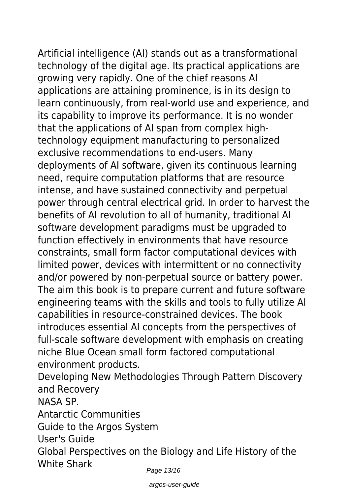Artificial intelligence (AI) stands out as a transformational technology of the digital age. Its practical applications are growing very rapidly. One of the chief reasons AI applications are attaining prominence, is in its design to learn continuously, from real-world use and experience, and its capability to improve its performance. It is no wonder that the applications of AI span from complex hightechnology equipment manufacturing to personalized exclusive recommendations to end-users. Many deployments of AI software, given its continuous learning need, require computation platforms that are resource intense, and have sustained connectivity and perpetual power through central electrical grid. In order to harvest the benefits of AI revolution to all of humanity, traditional AI software development paradigms must be upgraded to function effectively in environments that have resource constraints, small form factor computational devices with limited power, devices with intermittent or no connectivity and/or powered by non-perpetual source or battery power. The aim this book is to prepare current and future software engineering teams with the skills and tools to fully utilize AI capabilities in resource-constrained devices. The book introduces essential AI concepts from the perspectives of full-scale software development with emphasis on creating niche Blue Ocean small form factored computational environment products. Developing New Methodologies Through Pattern Discovery

and Recovery NASA SP. Antarctic Communities Guide to the Argos System User's Guide Global Perspectives on the Biology and Life History of the White Shark Page 13/16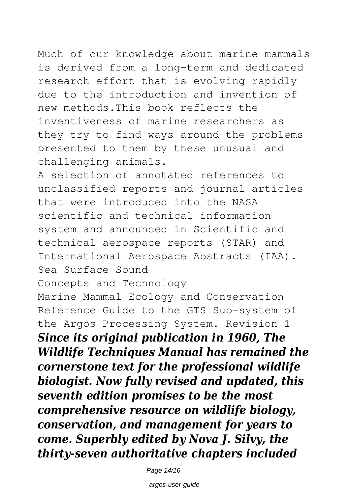Much of our knowledge about marine mammals is derived from a long-term and dedicated research effort that is evolving rapidly due to the introduction and invention of new methods.This book reflects the inventiveness of marine researchers as they try to find ways around the problems presented to them by these unusual and

challenging animals.

A selection of annotated references to unclassified reports and journal articles that were introduced into the NASA scientific and technical information system and announced in Scientific and technical aerospace reports (STAR) and International Aerospace Abstracts (IAA). Sea Surface Sound

Concepts and Technology

Marine Mammal Ecology and Conservation Reference Guide to the GTS Sub-system of the Argos Processing System. Revision 1 *Since its original publication in 1960, The Wildlife Techniques Manual has remained the cornerstone text for the professional wildlife biologist. Now fully revised and updated, this seventh edition promises to be the most comprehensive resource on wildlife biology, conservation, and management for years to come. Superbly edited by Nova J. Silvy, the thirty-seven authoritative chapters included*

Page 14/16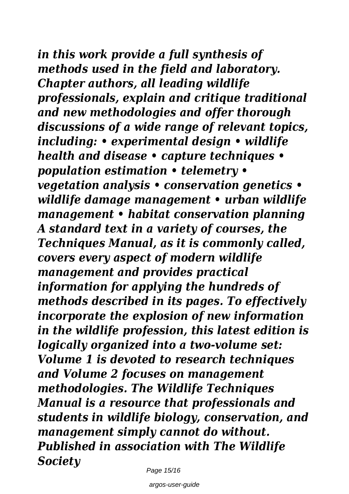*in this work provide a full synthesis of methods used in the field and laboratory. Chapter authors, all leading wildlife professionals, explain and critique traditional and new methodologies and offer thorough discussions of a wide range of relevant topics, including: • experimental design • wildlife health and disease • capture techniques • population estimation • telemetry • vegetation analysis • conservation genetics • wildlife damage management • urban wildlife management • habitat conservation planning A standard text in a variety of courses, the Techniques Manual, as it is commonly called, covers every aspect of modern wildlife management and provides practical information for applying the hundreds of methods described in its pages. To effectively incorporate the explosion of new information in the wildlife profession, this latest edition is logically organized into a two-volume set: Volume 1 is devoted to research techniques and Volume 2 focuses on management methodologies. The Wildlife Techniques Manual is a resource that professionals and students in wildlife biology, conservation, and management simply cannot do without. Published in association with The Wildlife Society*

Page 15/16